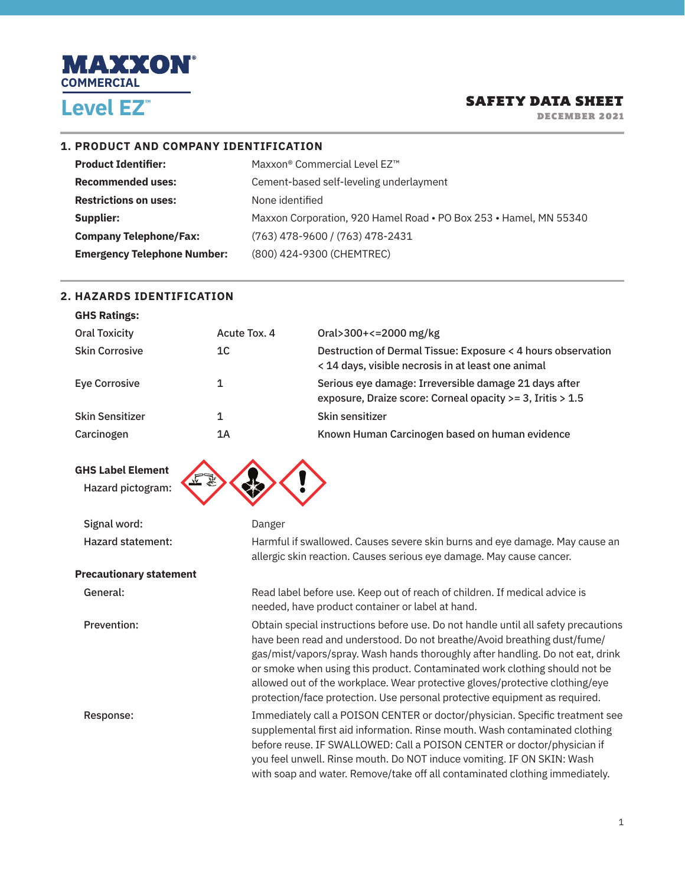

DECEMBER 2021

#### **1. PRODUCT AND COMPANY IDENTIFICATION**

| <b>Product Identifier:</b>         | Maxxon® Commercial Level EZ™                                      |
|------------------------------------|-------------------------------------------------------------------|
| <b>Recommended uses:</b>           | Cement-based self-leveling underlayment                           |
| <b>Restrictions on uses:</b>       | None identified                                                   |
| Supplier:                          | Maxxon Corporation, 920 Hamel Road . PO Box 253 . Hamel, MN 55340 |
| <b>Company Telephone/Fax:</b>      | (763) 478-9600 / (763) 478-2431                                   |
| <b>Emergency Telephone Number:</b> | (800) 424-9300 (CHEMTREC)                                         |

#### **2. HAZARDS IDENTIFICATION**

**GHS Ratings:** 

| und Ratings:           |              |                                                                                                                     |
|------------------------|--------------|---------------------------------------------------------------------------------------------------------------------|
| <b>Oral Toxicity</b>   | Acute Tox, 4 | Oral>300+<=2000 mg/kg                                                                                               |
| <b>Skin Corrosive</b>  | 1C           | Destruction of Dermal Tissue: Exposure < 4 hours observation<br>< 14 days, visible necrosis in at least one animal  |
| <b>Eye Corrosive</b>   | 1            | Serious eye damage: Irreversible damage 21 days after<br>exposure, Draize score: Corneal opacity >= 3, Iritis > 1.5 |
| <b>Skin Sensitizer</b> | 1            | Skin sensitizer                                                                                                     |
| Carcinogen             | 1Α           | Known Human Carcinogen based on human evidence                                                                      |
|                        |              |                                                                                                                     |

**GHS Label Element** Hazard pictogram:



Signal word: Danger

Hazard statement: Harmful if swallowed. Causes severe skin burns and eye damage. May cause an allergic skin reaction. Causes serious eye damage. May cause cancer.

#### **Precautionary statement**

General: Read label before use. Keep out of reach of children. If medical advice is needed, have product container or label at hand.

Prevention: Obtain special instructions before use. Do not handle until all safety precautions have been read and understood. Do not breathe/Avoid breathing dust/fume/ gas/mist/vapors/spray. Wash hands thoroughly after handling. Do not eat, drink or smoke when using this product. Contaminated work clothing should not be allowed out of the workplace. Wear protective gloves/protective clothing/eye protection/face protection. Use personal protective equipment as required.

Response: Immediately call a POISON CENTER or doctor/physician. Specific treatment see supplemental first aid information. Rinse mouth. Wash contaminated clothing before reuse. IF SWALLOWED: Call a POISON CENTER or doctor/physician if you feel unwell. Rinse mouth. Do NOT induce vomiting. IF ON SKIN: Wash with soap and water. Remove/take off all contaminated clothing immediately.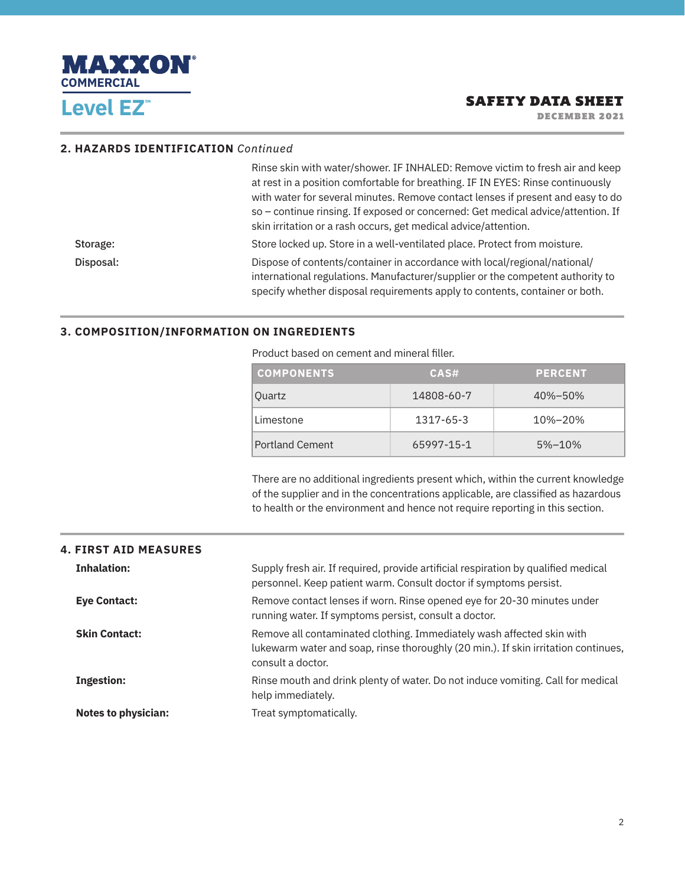

DECEMBER 2021

#### **2. HAZARDS IDENTIFICATION** *Continued*

|           | Rinse skin with water/shower. IF INHALED: Remove victim to fresh air and keep<br>at rest in a position comfortable for breathing. IF IN EYES: Rinse continuously<br>with water for several minutes. Remove contact lenses if present and easy to do<br>so - continue rinsing. If exposed or concerned: Get medical advice/attention. If<br>skin irritation or a rash occurs, get medical advice/attention. |
|-----------|------------------------------------------------------------------------------------------------------------------------------------------------------------------------------------------------------------------------------------------------------------------------------------------------------------------------------------------------------------------------------------------------------------|
| Storage:  | Store locked up. Store in a well-ventilated place. Protect from moisture.                                                                                                                                                                                                                                                                                                                                  |
| Disposal: | Dispose of contents/container in accordance with local/regional/national/<br>international regulations. Manufacturer/supplier or the competent authority to<br>specify whether disposal requirements apply to contents, container or both.                                                                                                                                                                 |

#### **3. COMPOSITION/INFORMATION ON INGREDIENTS**

| <b>COMPONENTS</b>      | CAS#       | <b>PERCENT</b> |
|------------------------|------------|----------------|
| <b>Ouartz</b>          | 14808-60-7 | 40%-50%        |
| Limestone              | 1317-65-3  | 10%-20%        |
| <b>Portland Cement</b> | 65997-15-1 | 5%-10%         |

Product based on cement and mineral filler.

 There are no additional ingredients present which, within the current knowledge of the supplier and in the concentrations applicable, are classified as hazardous to health or the environment and hence not require reporting in this section.

| <b>4. FIRST AID MEASURES</b> |                                                                                                                                                                                  |
|------------------------------|----------------------------------------------------------------------------------------------------------------------------------------------------------------------------------|
| <b>Inhalation:</b>           | Supply fresh air. If required, provide artificial respiration by qualified medical<br>personnel. Keep patient warm. Consult doctor if symptoms persist.                          |
| <b>Eye Contact:</b>          | Remove contact lenses if worn. Rinse opened eye for 20-30 minutes under<br>running water. If symptoms persist, consult a doctor.                                                 |
| <b>Skin Contact:</b>         | Remove all contaminated clothing. Immediately wash affected skin with<br>lukewarm water and soap, rinse thoroughly (20 min.). If skin irritation continues,<br>consult a doctor. |
| <b>Ingestion:</b>            | Rinse mouth and drink plenty of water. Do not induce vomiting. Call for medical<br>help immediately.                                                                             |
| <b>Notes to physician:</b>   | Treat symptomatically.                                                                                                                                                           |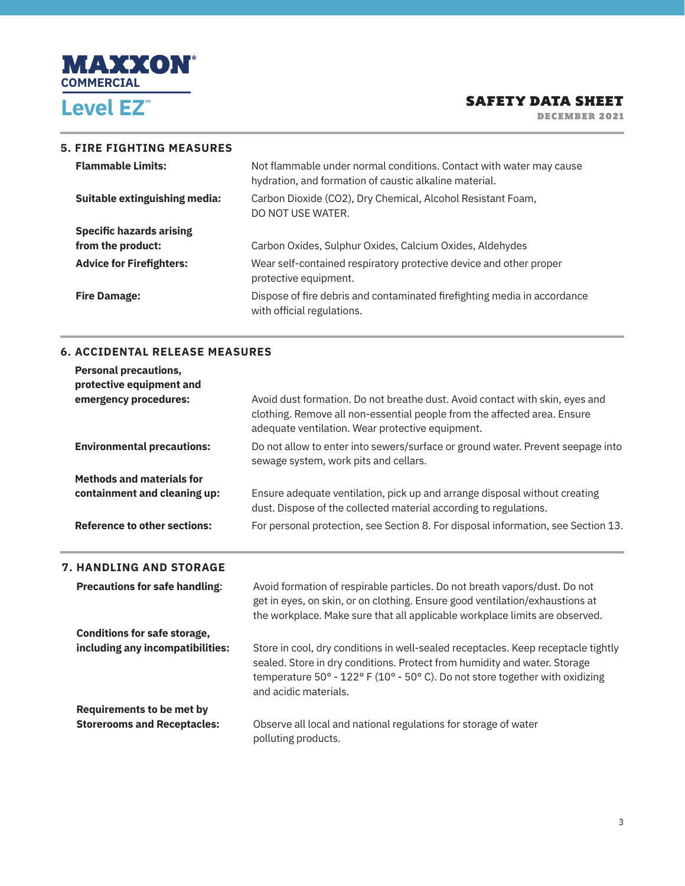

DECEMBER 2021

#### **5. FIRE FIGHTING MEASURES**

| <b>Flammable Limits:</b>        | Not flammable under normal conditions. Contact with water may cause<br>hydration, and formation of caustic alkaline material. |
|---------------------------------|-------------------------------------------------------------------------------------------------------------------------------|
| Suitable extinguishing media:   | Carbon Dioxide (CO2), Dry Chemical, Alcohol Resistant Foam,<br>DO NOT USE WATER.                                              |
| <b>Specific hazards arising</b> |                                                                                                                               |
| from the product:               | Carbon Oxides, Sulphur Oxides, Calcium Oxides, Aldehydes                                                                      |
| <b>Advice for Firefighters:</b> | Wear self-contained respiratory protective device and other proper<br>protective equipment.                                   |
| <b>Fire Damage:</b>             | Dispose of fire debris and contaminated fire fighting media in accordance<br>with official regulations.                       |

#### **6. ACCIDENTAL RELEASE MEASURES**

**Requirements to be met by** 

j.

| <b>Personal precautions,</b><br>protective equipment and |                                                                                                                                                                                                                                           |
|----------------------------------------------------------|-------------------------------------------------------------------------------------------------------------------------------------------------------------------------------------------------------------------------------------------|
| emergency procedures:                                    | Avoid dust formation. Do not breathe dust. Avoid contact with skin, eyes and<br>clothing. Remove all non-essential people from the affected area. Ensure<br>adequate ventilation. Wear protective equipment.                              |
| <b>Environmental precautions:</b>                        | Do not allow to enter into sewers/surface or ground water. Prevent seepage into<br>sewage system, work pits and cellars.                                                                                                                  |
| <b>Methods and materials for</b>                         |                                                                                                                                                                                                                                           |
| containment and cleaning up:                             | Ensure adequate ventilation, pick up and arrange disposal without creating<br>dust. Dispose of the collected material according to regulations.                                                                                           |
| <b>Reference to other sections:</b>                      | For personal protection, see Section 8. For disposal information, see Section 13.                                                                                                                                                         |
| <b>7. HANDLING AND STORAGE</b>                           |                                                                                                                                                                                                                                           |
| <b>Precautions for safe handling:</b>                    | Avoid formation of respirable particles. Do not breath vapors/dust. Do not<br>get in eyes, on skin, or on clothing. Ensure good ventilation/exhaustions at<br>the workplace. Make sure that all applicable workplace limits are observed. |
| <b>Conditions for safe storage,</b>                      |                                                                                                                                                                                                                                           |

**including any incompatibilities:** Store in cool, dry conditions in well-sealed receptacles. Keep receptacle tightly sealed. Store in dry conditions. Protect from humidity and water. Storage temperature 50° - 122° F (10° - 50° C). Do not store together with oxidizing and acidic materials.

**Storerooms and Receptacles:** Observe all local and national regulations for storage of water polluting products.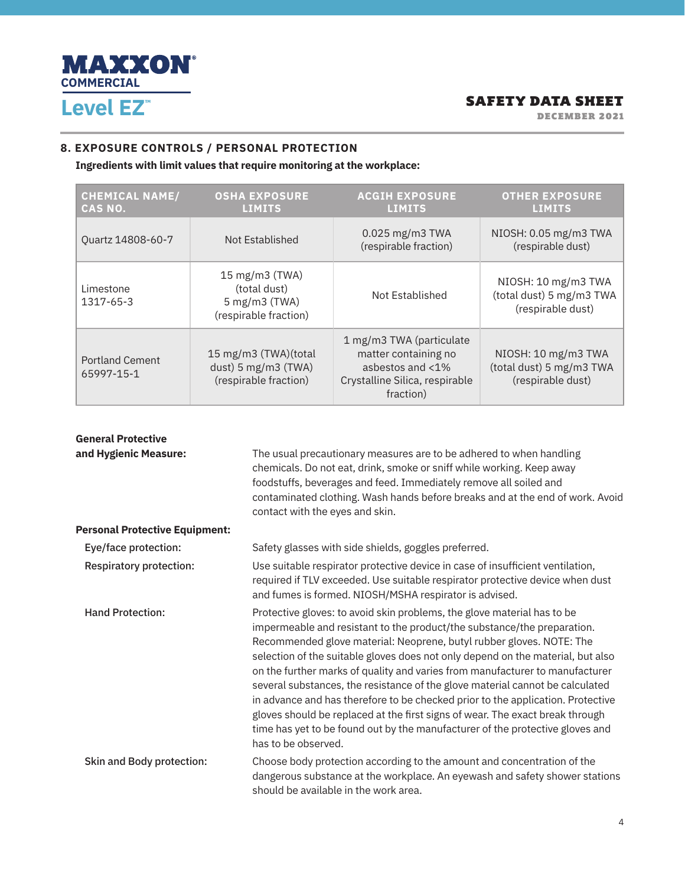

DECEMBER 2021

## **8. EXPOSURE CONTROLS / PERSONAL PROTECTION**

**Ingredients with limit values that require monitoring at the workplace:**

| <b>CHEMICAL NAME/</b><br>CAS NO.     | <b>OSHA EXPOSURE</b><br><b>LIMITS</b>                                                    | <b>ACGIH EXPOSURE</b><br><b>LIMITS</b>                                                                              | <b>OTHER EXPOSURE</b><br><b>LIMITS</b>                               |
|--------------------------------------|------------------------------------------------------------------------------------------|---------------------------------------------------------------------------------------------------------------------|----------------------------------------------------------------------|
| Ouartz 14808-60-7                    | Not Established                                                                          | 0.025 mg/m3 TWA<br>(respirable fraction)                                                                            | NIOSH: 0.05 mg/m3 TWA<br>(respirable dust)                           |
| Limestone<br>1317-65-3               | $15 \text{ mg/m}$ 3 (TWA)<br>(total dust)<br>$5$ mg/m $3$ (TWA)<br>(respirable fraction) | Not Established                                                                                                     | NIOSH: 10 mg/m3 TWA<br>(total dust) 5 mg/m3 TWA<br>(respirable dust) |
| <b>Portland Cement</b><br>65997-15-1 | 15 mg/m3 (TWA)(total<br>dust) 5 mg/m3 (TWA)<br>(respirable fraction)                     | 1 mg/m3 TWA (particulate<br>matter containing no<br>asbestos and <1%<br>Crystalline Silica, respirable<br>fraction) | NIOSH: 10 mg/m3 TWA<br>(total dust) 5 mg/m3 TWA<br>(respirable dust) |

| <b>General Protective</b>             |                                                                                                                                                                                                                                                                                                                                                                                                                                                                                                                                                                                                                                                                                                                                                            |
|---------------------------------------|------------------------------------------------------------------------------------------------------------------------------------------------------------------------------------------------------------------------------------------------------------------------------------------------------------------------------------------------------------------------------------------------------------------------------------------------------------------------------------------------------------------------------------------------------------------------------------------------------------------------------------------------------------------------------------------------------------------------------------------------------------|
| and Hygienic Measure:                 | The usual precautionary measures are to be adhered to when handling<br>chemicals. Do not eat, drink, smoke or sniff while working. Keep away<br>foodstuffs, beverages and feed. Immediately remove all soiled and<br>contaminated clothing. Wash hands before breaks and at the end of work. Avoid<br>contact with the eyes and skin.                                                                                                                                                                                                                                                                                                                                                                                                                      |
| <b>Personal Protective Equipment:</b> |                                                                                                                                                                                                                                                                                                                                                                                                                                                                                                                                                                                                                                                                                                                                                            |
| Eye/face protection:                  | Safety glasses with side shields, goggles preferred.                                                                                                                                                                                                                                                                                                                                                                                                                                                                                                                                                                                                                                                                                                       |
| <b>Respiratory protection:</b>        | Use suitable respirator protective device in case of insufficient ventilation,<br>required if TLV exceeded. Use suitable respirator protective device when dust<br>and fumes is formed. NIOSH/MSHA respirator is advised.                                                                                                                                                                                                                                                                                                                                                                                                                                                                                                                                  |
| <b>Hand Protection:</b>               | Protective gloves: to avoid skin problems, the glove material has to be<br>impermeable and resistant to the product/the substance/the preparation.<br>Recommended glove material: Neoprene, butyl rubber gloves. NOTE: The<br>selection of the suitable gloves does not only depend on the material, but also<br>on the further marks of quality and varies from manufacturer to manufacturer<br>several substances, the resistance of the glove material cannot be calculated<br>in advance and has therefore to be checked prior to the application. Protective<br>gloves should be replaced at the first signs of wear. The exact break through<br>time has yet to be found out by the manufacturer of the protective gloves and<br>has to be observed. |
| <b>Skin and Body protection:</b>      | Choose body protection according to the amount and concentration of the<br>dangerous substance at the workplace. An eyewash and safety shower stations<br>should be available in the work area.                                                                                                                                                                                                                                                                                                                                                                                                                                                                                                                                                            |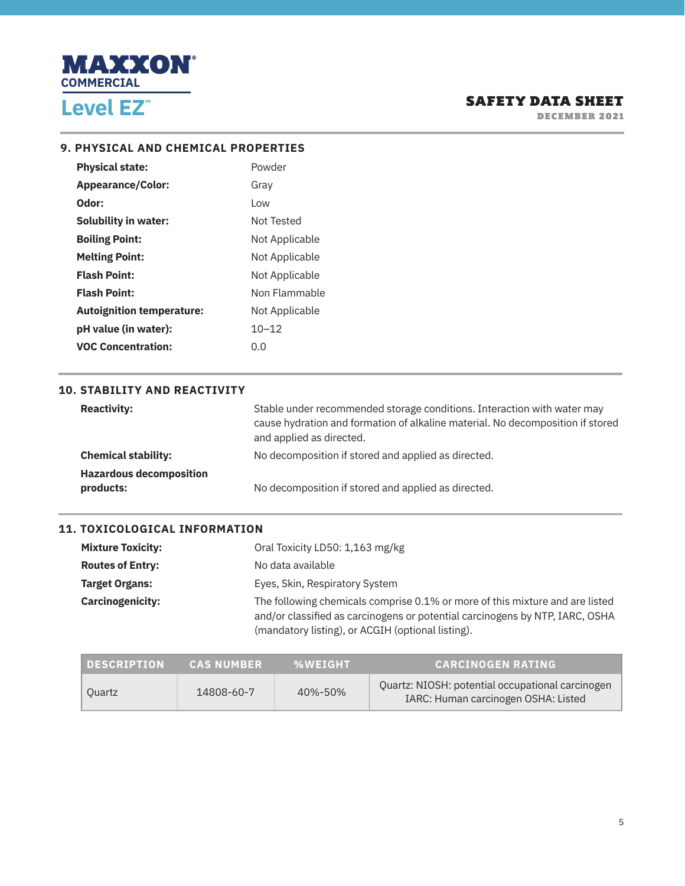

DECEMBER 2021

#### **9. PHYSICAL AND CHEMICAL PROPERTIES**

| <b>Physical state:</b>           | Powder         |
|----------------------------------|----------------|
| <b>Appearance/Color:</b>         | Gray           |
| Odor:                            | l ow           |
| <b>Solubility in water:</b>      | Not Tested     |
| <b>Boiling Point:</b>            | Not Applicable |
| <b>Melting Point:</b>            | Not Applicable |
| <b>Flash Point:</b>              | Not Applicable |
| <b>Flash Point:</b>              | Non Flammable  |
| <b>Autoignition temperature:</b> | Not Applicable |
| pH value (in water):             | $10 - 12$      |
| <b>VOC Concentration:</b>        | 0.O            |

#### **10. STABILITY AND REACTIVITY**

| <b>Reactivity:</b>                          | Stable under recommended storage conditions. Interaction with water may<br>cause hydration and formation of alkaline material. No decomposition if stored<br>and applied as directed. |
|---------------------------------------------|---------------------------------------------------------------------------------------------------------------------------------------------------------------------------------------|
| <b>Chemical stability:</b>                  | No decomposition if stored and applied as directed.                                                                                                                                   |
| <b>Hazardous decomposition</b><br>products: | No decomposition if stored and applied as directed.                                                                                                                                   |

#### **11. TOXICOLOGICAL INFORMATION**

| <b>Mixture Toxicity:</b> | Oral Toxicity LD50: 1,163 mg/kg                                                                                                                                                                                   |
|--------------------------|-------------------------------------------------------------------------------------------------------------------------------------------------------------------------------------------------------------------|
| <b>Routes of Entry:</b>  | No data available                                                                                                                                                                                                 |
| <b>Target Organs:</b>    | Eyes, Skin, Respiratory System                                                                                                                                                                                    |
| <b>Carcinogenicity:</b>  | The following chemicals comprise 0.1% or more of this mixture and are listed<br>and/or classified as carcinogens or potential carcinogens by NTP, IARC, OSHA<br>(mandatory listing), or ACGIH (optional listing). |

| <b>DESCRIPTION</b> | <b>CAS NUMBER</b> | <b>%WEIGHT</b> | <b>CARCINOGEN RATING</b>                                                                |
|--------------------|-------------------|----------------|-----------------------------------------------------------------------------------------|
| Ouartz             | 14808-60-7        | 40%-50%        | Ouartz: NIOSH: potential occupational carcinogen<br>IARC: Human carcinogen OSHA: Listed |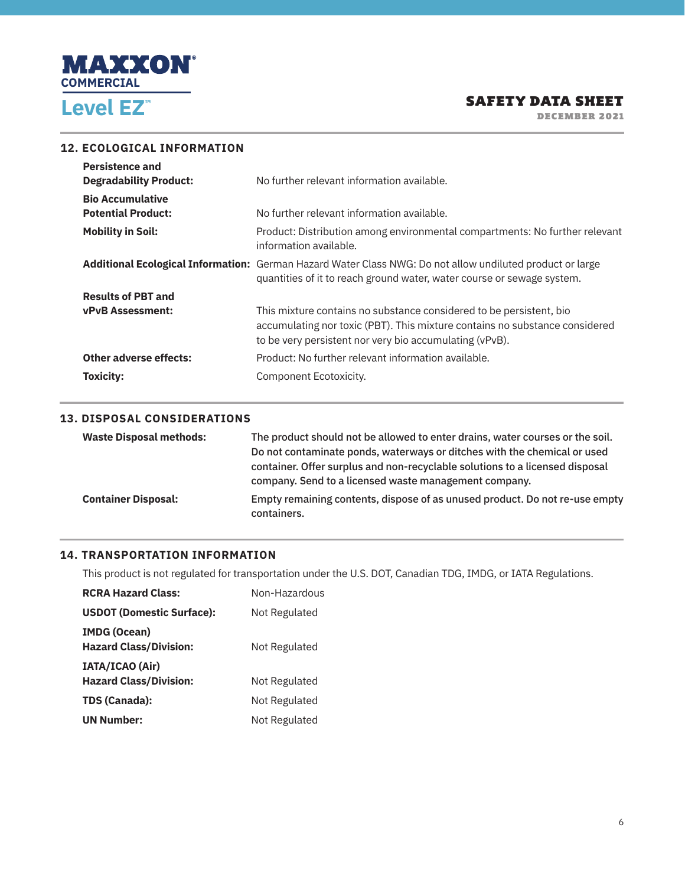

DECEMBER 2021

#### **12. ECOLOGICAL INFORMATION**

| <b>Persistence and</b>        |                                                                                                                                                                                                               |
|-------------------------------|---------------------------------------------------------------------------------------------------------------------------------------------------------------------------------------------------------------|
| <b>Degradability Product:</b> | No further relevant information available.                                                                                                                                                                    |
| <b>Bio Accumulative</b>       |                                                                                                                                                                                                               |
| <b>Potential Product:</b>     | No further relevant information available.                                                                                                                                                                    |
| <b>Mobility in Soil:</b>      | Product: Distribution among environmental compartments: No further relevant<br>information available.                                                                                                         |
|                               | Additional Ecological Information: German Hazard Water Class NWG: Do not allow undiluted product or large<br>quantities of it to reach ground water, water course or sewage system.                           |
| <b>Results of PBT and</b>     |                                                                                                                                                                                                               |
| <b>vPvB Assessment:</b>       | This mixture contains no substance considered to be persistent, bio<br>accumulating nor toxic (PBT). This mixture contains no substance considered<br>to be very persistent nor very bio accumulating (vPvB). |
| <b>Other adverse effects:</b> | Product: No further relevant information available.                                                                                                                                                           |
| Toxicity:                     | Component Ecotoxicity.                                                                                                                                                                                        |

#### **13. DISPOSAL CONSIDERATIONS**

| <b>Waste Disposal methods:</b> | The product should not be allowed to enter drains, water courses or the soil.              |
|--------------------------------|--------------------------------------------------------------------------------------------|
|                                | Do not contaminate ponds, waterways or ditches with the chemical or used                   |
|                                | container. Offer surplus and non-recyclable solutions to a licensed disposal               |
|                                | company. Send to a licensed waste management company.                                      |
| <b>Container Disposal:</b>     | Empty remaining contents, dispose of as unused product. Do not re-use empty<br>containers. |

# **14. TRANSPORTATION INFORMATION**

This product is not regulated for transportation under the U.S. DOT, Canadian TDG, IMDG, or IATA Regulations.

| <b>RCRA Hazard Class:</b>                            | Non-Hazardous |
|------------------------------------------------------|---------------|
| <b>USDOT (Domestic Surface):</b>                     | Not Regulated |
| <b>IMDG (Ocean)</b><br><b>Hazard Class/Division:</b> | Not Regulated |
| IATA/ICAO (Air)<br><b>Hazard Class/Division:</b>     | Not Regulated |
| TDS (Canada):                                        | Not Regulated |
| <b>UN Number:</b>                                    | Not Regulated |
|                                                      |               |